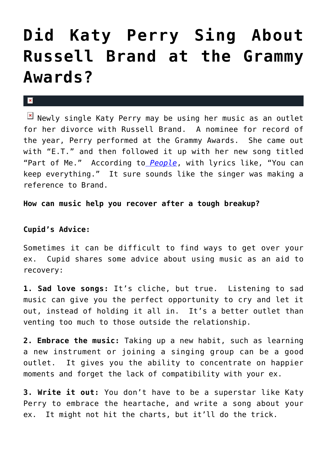## **[Did Katy Perry Sing About](https://cupidspulse.com/27172/katy-perry-sing-russell-brand-grammy-awards/) [Russell Brand at the Grammy](https://cupidspulse.com/27172/katy-perry-sing-russell-brand-grammy-awards/) [Awards?](https://cupidspulse.com/27172/katy-perry-sing-russell-brand-grammy-awards/)**

## $\mathbf{x}$

 $\overline{M}$  Newly single Katy Perry may be using her music as an outlet for her divorce with Russell Brand. A nominee for record of the year, Perry performed at the Grammy Awards. She came out with "E.T." and then followed it up with her new song titled "Part of Me." According to *[People](http://www.peoplestylewatch.com/people/stylewatch/package/article/0,,20552371_20569703,00.html?icid=maing-grid7%7Cmain5%7Cdl2%7Csec3_lnk3%26pLid%3D135094)*, with lyrics like, "You can keep everything." It sure sounds like the singer was making a reference to Brand.

**How can music help you recover after a tough breakup?**

## **Cupid's Advice:**

Sometimes it can be difficult to find ways to get over your ex. Cupid shares some advice about using music as an aid to recovery:

**1. Sad love songs:** It's cliche, but true. Listening to sad music can give you the perfect opportunity to cry and let it out, instead of holding it all in. It's a better outlet than venting too much to those outside the relationship.

**2. Embrace the music:** Taking up a new habit, such as learning a new instrument or joining a singing group can be a good outlet. It gives you the ability to concentrate on happier moments and forget the lack of compatibility with your ex.

**3. Write it out:** You don't have to be a superstar like Katy Perry to embrace the heartache, and write a song about your ex. It might not hit the charts, but it'll do the trick.